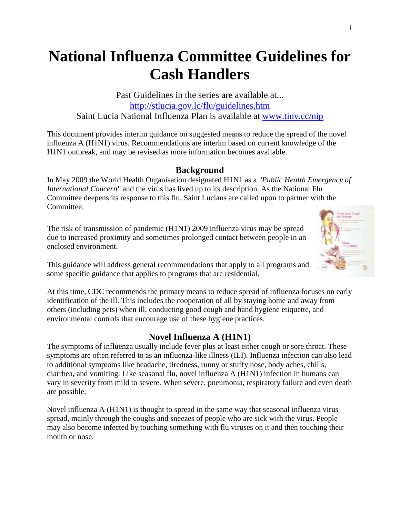# **National Influenza Committee Guidelines for Cash Handlers**

Past Guidelines in the series are available at... http://stlucia.gov.lc/flu/guidelines.htm Saint Lucia National Influenza Plan is available at www.tiny.cc/nip

This document provides interim guidance on suggested means to reduce the spread of the novel influenza A (H1N1) virus. Recommendations are interim based on current knowledge of the H1N1 outbreak, and may be revised as more information becomes available.

#### **Background**

In May 2009 the World Health Organisation designated H1N1 as a *"Public Health Emergency of International Concern"* and the virus has lived up to its description. As the National Flu Committee deepens its response to this flu, Saint Lucians are called upon to partner with the Committee.

The risk of transmission of pandemic (H1N1) 2009 influenza virus may be spread due to increased proximity and sometimes prolonged contact between people in an enclosed environment.



This guidance will address general recommendations that apply to all programs and some specific guidance that applies to programs that are residential.

At this time, CDC recommends the primary means to reduce spread of influenza focuses on early identification of the ill. This includes the cooperation of all by staying home and away from others (including pets) when ill, conducting good cough and hand hygiene etiquette, and environmental controls that encourage use of these hygiene practices.

### **Novel Influenza A (H1N1)**

The symptoms of influenza usually include fever plus at least either cough or sore throat. These symptoms are often referred to as an influenza-like illness (ILI). Influenza infection can also lead to additional symptoms like headache, tiredness, runny or stuffy nose, body aches, chills, diarrhea, and vomiting. Like seasonal flu, novel influenza A (H1N1) infection in humans can vary in severity from mild to severe. When severe, pneumonia, respiratory failure and even death are possible.

Novel influenza A (H1N1) is thought to spread in the same way that seasonal influenza virus spread, mainly through the coughs and sneezes of people who are sick with the virus. People may also become infected by touching something with flu viruses on it and then touching their mouth or nose.